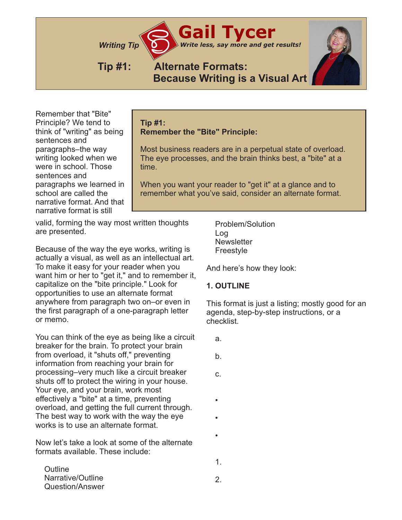*Writing Tip Write less, say more and get results!*

# **Tip #1: Alternate Formats: Because Writing is a Visual Art**

Remember that "Bite" Principle? We tend to think of "writing" as being sentences and paragraphs–the way writing looked when we were in school. Those sentences and paragraphs we learned in school are called the narrative format. And that narrative format is still

#### **Tip #1: Remember the "Bite" Principle:**

**Gail Tycer**

Most business readers are in a perpetual state of overload. The eye processes, and the brain thinks best, a "bite" at a time.

When you want your reader to "get it" at a glance and to remember what you've said, consider an alternate format.

valid, forming the way most written thoughts are presented.

Because of the way the eye works, writing is actually a visual, as well as an intellectual art. To make it easy for your reader when you want him or her to "get it," and to remember it, capitalize on the "bite principle." Look for opportunities to use an alternate format anywhere from paragraph two on–or even in the first paragraph of a one-paragraph letter or memo.

You can think of the eye as being like a circuit breaker for the brain. To protect your brain from overload, it "shuts off," preventing information from reaching your brain for processing–very much like a circuit breaker shuts off to protect the wiring in your house. Your eye, and your brain, work most effectively a "bite" at a time, preventing overload, and getting the full current through. The best way to work with the way the eye works is to use an alternate format.

Now let's take a look at some of the alternate formats available. These include:

 Problem/Solution Log **Newsletter** Freestyle

And here's how they look:

#### **1. OUTLINE**

This format is just a listing; mostly good for an agenda, step-by-step instructions, or a checklist.

a.

b.

- 
- c.
- •
- •
- - 1.

2.

**Outline**  Narrative/Outline Question/Answer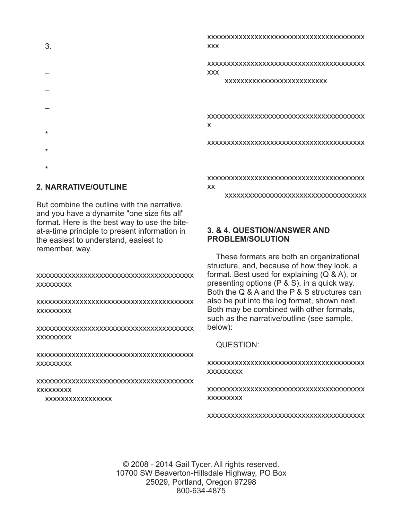- 3. – – – \* \* xxx xxx x
- \*

## **2. NARRATIVE/OUTLINE**

But combine the outline with the narrative, and you have a dynamite "one size fits all" format. Here is the best way to use the biteat-a-time principle to present information in the easiest to understand, easiest to remember, way.

xxxxxxxxxxxxxxxxxxxxxxxxxxxxxxxxxxxxxxxx xxxxxxxxx

xxxxxxxxxxxxxxxxxxxxxxxxxxxxxxxxxxxxxxxx xxxxxxxxx

xxxxxxxxxxxxxxxxxxxxxxxxxxxxxxxxxxxxxxxx xxxxxxxxx

xxxxxxxxxxxxxxxxxxxxxxxxxxxxxxxxxxxxxxxx xxxxxxxxx

xxxxxxxxxxxxxxxxxxxxxxxxxxxxxxxxxxxxxxxx xxxxxxxxx xxxxxxxxxxxxxxxxx

xxxxxxxxxxxxxxxxxxxxxxxxxxxxxxxxxxxxxxxx

xxxxxxxxxxxxxxxxxxxxxxxxxxxxxxxxxxxxxxxx

xxxxxxxxxxxxxxxxxxxxxxxxxx

xxxxxxxxxxxxxxxxxxxxxxxxxxxxxxxxxxxxxxxx

xxxxxxxxxxxxxxxxxxxxxxxxxxxxxxxxxxxxxxxx

xxxxxxxxxxxxxxxxxxxxxxxxxxxxxxxxxxxxxxxx xx

xxxxxxxxxxxxxxxxxxxxxxxxxxxxxxxxxxxx

### **3. & 4. QUESTION/ANSWER AND PROBLEM/SOLUTION**

 These formats are both an organizational structure, and, because of how they look, a format. Best used for explaining (Q & A), or presenting options (P & S), in a quick way. Both the Q & A and the P & S structures can also be put into the log format, shown next. Both may be combined with other formats, such as the narrative/outline (see sample, below):

QUESTION:

xxxxxxxxxxxxxxxxxxxxxxxxxxxxxxxxxxxxxxxx xxxxxxxxx

xxxxxxxxxxxxxxxxxxxxxxxxxxxxxxxxxxxxxxxx xxxxxxxxx

xxxxxxxxxxxxxxxxxxxxxxxxxxxxxxxxxxxxxxxx

© 2008 - 2014 Gail Tycer. All rights reserved. 10700 SW Beaverton-Hillsdale Highway, PO Box 25029, Portland, Oregon 97298 800-634-4875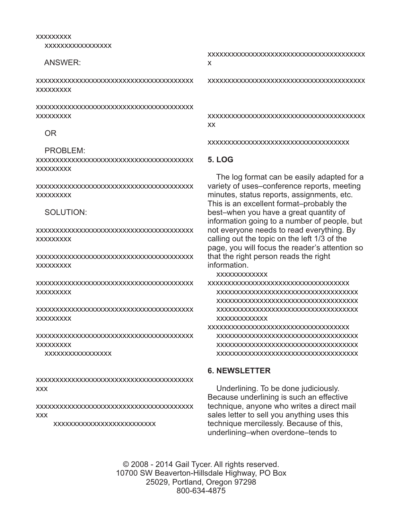#### xxxxxxxxx xxxxxxxxxxxxxxxxx

#### ANSWER:

xxxxxxxxxxxxxxxxxxxxxxxxxxxxxxxxxxxxxxxx xxxxxxxxx

xxxxxxxxxxxxxxxxxxxxxxxxxxxxxxxxxxxxxxxx xxxxxxxxx

#### OR

#### PROBLEM:

xxxxxxxxxxxxxxxxxxxxxxxxxxxxxxxxxxxxxxxx xxxxxxxxx

xxxxxxxxxxxxxxxxxxxxxxxxxxxxxxxxxxxxxxxx xxxxxxxxx

#### SOLUTION:

xxxxxxxxxxxxxxxxxxxxxxxxxxxxxxxxxxxxxxxx xxxxxxxxx

xxxxxxxxxxxxxxxxxxxxxxxxxxxxxxxxxxxxxxxx xxxxxxxxx

xxxxxxxxxxxxxxxxxxxxxxxxxxxxxxxxxxxxxxxx xxxxxxxxx

xxxxxxxxxxxxxxxxxxxxxxxxxxxxxxxxxxxxxxxx xxxxxxxxx

xxxxxxxxxxxxxxxxxxxxxxxxxxxxxxxxxxxxxxxx xxxxxxxxx

xxxxxxxxxxxxxxxxx

xxxxxxxxxxxxxxxxxxxxxxxxxxxxxxxxxxxxxxxx xxx

xxxxxxxxxxxxxxxxxxxxxxxxxxxxxxxxxxxxxxxx xxx

xxxxxxxxxxxxxxxxxxxxxxxxxx

xxxxxxxxxxxxxxxxxxxxxxxxxxxxxxxxxxxxxxxx x

xxxxxxxxxxxxxxxxxxxxxxxxxxxxxxxxxxxxxxxx

xxxxxxxxxxxxxxxxxxxxxxxxxxxxxxxxxxxxxxxx xx

xxxxxxxxxxxxxxxxxxxxxxxxxxxxxxxxxxxx

#### **5. LOG**

 The log format can be easily adapted for a variety of uses–conference reports, meeting minutes, status reports, assignments, etc. This is an excellent format–probably the best–when you have a great quantity of information going to a number of people, but not everyone needs to read everything. By calling out the topic on the left 1/3 of the page, you will focus the reader's attention so that the right person reads the right information.

xxxxxxxxxxxxx

xxxxxxxxxxxxxxxxxxxxxxxxxxxxxxxxxxxx xxxxxxxxxxxxxxxxxxxxxxxxxxxxxxxxxxxx xxxxxxxxxxxxxxxxxxxxxxxxxxxxxxxxxxxx xxxxxxxxxxxxxxxxxxxxxxxxxxxxxxxxxxxx xxxxxxxxxxxxx

xxxxxxxxxxxxxxxxxxxxxxxxxxxxxxxxxxxx xxxxxxxxxxxxxxxxxxxxxxxxxxxxxxxxxxxx xxxxxxxxxxxxxxxxxxxxxxxxxxxxxxxxxxxx xxxxxxxxxxxxxxxxxxxxxxxxxxxxxxxxxxxx

#### **6. NEWSLETTER**

 Underlining. To be done judiciously. Because underlining is such an effective technique, anyone who writes a direct mail sales letter to sell you anything uses this technique mercilessly. Because of this, underlining–when overdone–tends to

© 2008 - 2014 Gail Tycer. All rights reserved. 10700 SW Beaverton-Hillsdale Highway, PO Box 25029, Portland, Oregon 97298 800-634-4875